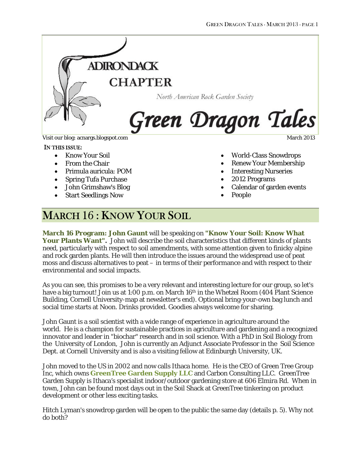

#### IN THIS ISSUE:

- Know Your Soil
- From the Chair
- Primula auricula: POM
- Spring Tufa Purchase
- John Grimshaw's Blog
- Start Seedlings Now

- World-Class Snowdrops
- Renew Your Membership
- **Interesting Nurseries**
- 2012 Programs
- Calendar of garden events
- People

# MARCH 16: KNOW YOUR SOIL

**March 16 Program: John Gaunt** will be speaking on **"Know Your Soil: Know What Your Plants Want".** John will describe the soil characteristics that different kinds of plants need, particularly with respect to soil amendments, with some attention given to finicky alpine and rock garden plants. He will then introduce the issues around the widespread use of peat moss and discuss alternatives to peat – in terms of their performance and with respect to their environmental and social impacts.

As you can see, this promises to be a very relevant and interesting lecture for our group, so let's have a big turnout! Join us at 1:00 p.m. on March 16<sup>th</sup> in the Whetzel Room (404 Plant Science Building, Cornell University-map at newsletter's end). Optional bring-your-own bag lunch and social time starts at Noon. Drinks provided. Goodies always welcome for sharing.

John Gaunt is a soil scientist with a wide range of experience in agriculture around the world. He is a champion for sustainable practices in agriculture and gardening and a recognized innovator and leader in "biochar" research and in soil science. With a PhD in Soil Biology from the University of London, John is currently an Adjunct Associate Professor in the Soil Science Dept. at Cornell University and is also a visiting fellow at Edinburgh University, UK*.*

John moved to the US in 2002 and now calls Ithaca home. He is the CEO of Green Tree Group Inc, which owns **[GreenTree Garden Supply LLC](http://www.greentreegardensupply.com/)** and Carbon Consulting LLC. GreenTree Garden Supply is Ithaca's specialist indoor/outdoor gardening store at 606 Elmira Rd. When in town, John can be found most days out in the Soil Shack at GreenTree tinkering on product development or other less exciting tasks.

Hitch Lyman's snowdrop garden will be open to the public the same day (details p. 5). Why not do both?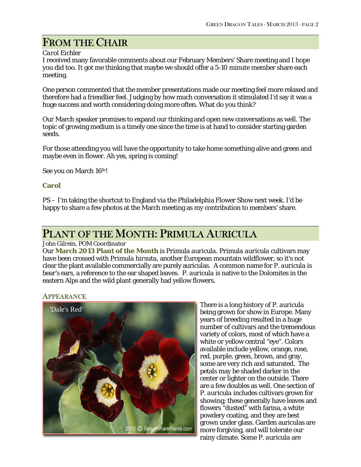# FROM THE CHAIR

#### *Carol Eichler*

I received many favorable comments about our February Members' Share meeting and I hope you did too. It got me thinking that maybe we should offer a 5-10 minute member share each meeting.

One person commented that the member presentations made our meeting feel more relaxed and therefore had a friendlier feel. Judging by how much conversation it stimulated I'd say it was a huge success and worth considering doing more often. What do you think?

Our March speaker promises to expand our thinking and open new conversations as well. The topic of growing medium is a timely one since the time is at hand to consider starting garden seeds.

For those attending you will have the opportunity to take home something alive and green and maybe even in flower. Ah yes, spring is coming!

See you on March 16th!

### **Carol**

PS – I'm taking the shortcut to England via the Philadelphia Flower Show next week. I'd be happy to share a few photos at the March meeting as my contribution to members' share.

# PLANT OF THE MONTH: PRIMULA AURICULA

#### *John Gilrein, POM Coordinator*

Our **March 2013 Plant of the Month** is *Primula auricula*. *Primula auricula* cultivars may have been crossed with *Primula hirsuta*, another European mountain wildflower, so it's not clear the plant available commercially are purely auriculas. A common name for *P. auricula* is bear's ears, a reference to the ear shaped leaves. *P. auricula* is native to the Dolomites in the eastern Alps and the wild plant generally had yellow flowers.





There is a long history of *P. auricula* being grown for show in Europe. Many years of breeding resulted in a huge number of cultivars and the tremendous variety of colors, most of which have a white or yellow central "eye". Colors available include yellow, orange, rose, red, purple, green, brown, and gray, some are very rich and saturated. The petals may be shaded darker in the center or lighter on the outside. There are a few doubles as well. One section of *P. auricula* includes cultivars grown for showing; these generally have leaves and flowers "dusted" with farina, a white powdery coating, and they are best grown under glass. Garden auriculas are more forgiving, and will tolerate our rainy climate. Some *P. auricula* are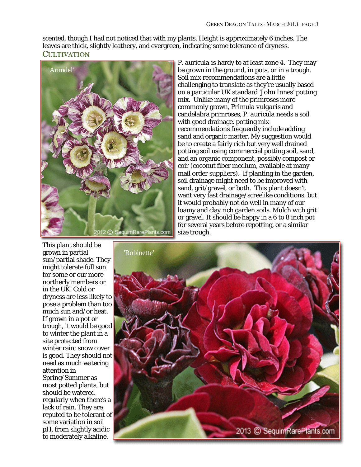scented, though I had not noticed that with my plants. Height is approximately 6 inches. The leaves are thick, slightly leathery, and evergreen, indicating some tolerance of dryness. **CULTIVATION** 



*P. auricula* is hardy to at least zone 4. They may be grown in the ground, in pots, or in a trough. Soil mix recommendations are a little challenging to translate as they're usually based on a particular UK standard 'John Innes' potting mix. Unlike many of the primroses more commonly grown, *Primula vulgaris* and candelabra primroses, *P. auricula* needs a soil with good drainage. potting mix recommendations frequently include adding sand and organic matter. My suggestion would be to create a fairly rich but very well drained potting soil using commercial potting soil, sand, and an organic component, possibly compost or coir (coconut fiber medium, available at many mail order suppliers). If planting in the garden, soil drainage might need to be improved with sand, grit/gravel, or both. This plant doesn't want very fast drainage/screelike conditions, but it would probably not do well in many of our loamy and clay rich garden soils. Mulch with grit or gravel. It should be happy in a 6 to 8 inch pot for several years before repotting, or a similar size trough.

This plant should be grown in partial sun/partial shade. They might tolerate full sun for some or our more northerly members or in the UK. Cold or dryness are less likely to pose a problem than too much sun and/or heat. If grown in a pot or trough, it would be good to winter the plant in a site protected from winter rain; snow cover is good. They should not need as much watering attention in Spring/Summer as most potted plants, but should be watered regularly when there's a lack of rain. They are reputed to be tolerant of some variation in soil pH, from slightly acidic to moderately alkaline.

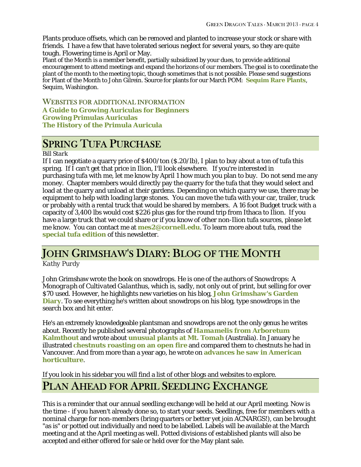Plants produce offsets, which can be removed and planted to increase your stock or share with friends. I have a few that have tolerated serious neglect for several years, so they are quite tough. Flowering time is April or May.

Plant of the Month is a member benefit, partially subsidized by your dues, to provide additional encouragement to attend meetings and expand the horizons of our members. The goal is to coordinate the plant of the month to the meeting topic, though sometimes that is not possible. Please send suggestions for Plant of the Month to John Gilrein. Source for plants for our March POM: **[Sequim Rare Plants](http://www.sequimrareplants.com/index.html)**, Sequim, Washington.

WEBSITES FOR ADDITIONAL INFORMATION

**[A Guide to Growing Auriculas for Beginners](http://www.auriculaandprimula.org.uk/wilkin94/auriculaculture.html) [Growing Primulas Auriculas](http://www.sarahraven.com/how-to/growing-flowers/5/growing-primulas-auriculas) [The History of the Primula Auricula](http://gardenofeaden.blogspot.com/2010/06/history-of-primula-auricula.html)**

# SPRING TUFA PURCHASE

### *Bill Stark*

If I can negotiate a quarry price of \$400/ton (\$.20/lb), I plan to buy about a ton of tufa this spring. If I can't get that price in Ilion, I'll look elsewhere. If you're interested in purchasing tufa with me, let me know by April 1 how much you plan to buy. Do not send me any money. Chapter members would directly pay the quarry for the tufa that they would select and load at the quarry and unload at their gardens. Depending on which quarry we use, there may be equipment to help with loading large stones. You can move the tufa with your car, trailer, truck or probably with a rental truck that would be shared by members. A 16 foot Budget truck with a capacity of 3,400 lbs would cost \$226 plus gas for the round trip from Ithaca to Ilion. If you have a large truck that we could share or if you know of other non-Ilion tufa sources, please let me know. You can contact me at **[mes2@cornell.edu](mailto:mes2@cornell.edu)**. To learn more about tufa, read the **[special tufa edition](http://remarc.com/acnargs/newsletter/201302tufa.pdf)** of this newsletter.

# JOHN GRIMSHAW'S DIARY: BLOG OF THE MONTH

### *Kathy Purdy*

John Grimshaw wrote the book on snowdrops. He is one of the authors of *Snowdrops: A Monograph of Cultivated Galanthus*, which is, sadly, not only out of print, but selling for over \$70 used. However, he highlights new varieties on his blog, **[John Grimshaw's Garden](http://johngrimshawsgardendiary.blogspot.com/)  [Diary](http://johngrimshawsgardendiary.blogspot.com/)**. To see everything he's written about snowdrops on his blog, type snowdrops in the search box and hit enter.

He's an extremely knowledgeable plantsman and snowdrops are not the only genus he writes about. Recently he published several photographs of *Hamamelis* **[from Arboretum](http://johngrimshawsgardendiary.blogspot.com/2013/02/hamamelis-at-arboretum-kalmthout.html)  [Kalmthout](http://johngrimshawsgardendiary.blogspot.com/2013/02/hamamelis-at-arboretum-kalmthout.html)** and wrote about **[unusual plants at Mt. Tomah](http://johngrimshawsgardendiary.blogspot.com/2013/01/unusual-plants-at-mt-tomah.html)** (Australia). In January he illustrated **[chestnuts roasting on an open fire](http://johngrimshawsgardendiary.blogspot.com/2013/01/chestnuts-roasting-on-open-fire.html)** and compared them to chestnuts he had in Vancouver. And from more than a year ago, he wrote on **[advances he saw in American](http://johngrimshawsgardendiary.blogspot.com/2011/11/new-plants-american-revolution.html)  [horticulture](http://johngrimshawsgardendiary.blogspot.com/2011/11/new-plants-american-revolution.html)**.

If you look in his sidebar you will find a list of other blogs and websites to explore.

# PLAN AHEAD FOR APRIL SEEDLING EXCHANGE

This is a reminder that our annual seedling exchange will be held at our April meeting. Now is the time - if you haven't already done so, to start your seeds. Seedlings, free for members with a nominal charge for non-members (bring quarters or better yet join ACNARGS!), can be brought "as is" or potted out individually and need to be labelled. Labels will be available at the March meeting and at the April meeting as well. Potted divisions of established plants will also be accepted and either offered for sale or held over for the May plant sale.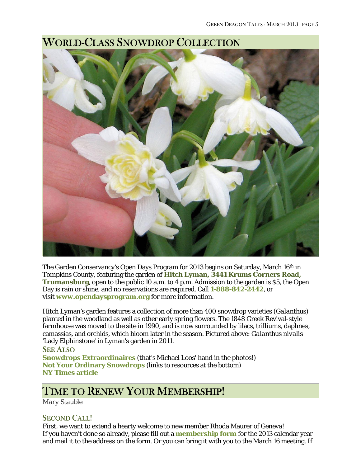

# WORLD-CLASS SNOWDROP COLLECTION

The Garden Conservancy's Open Days Program for 2013 begins on Saturday, March 16<sup>th</sup> in Tompkins County, featuring the garden of **Hitch Lyman, 3441 Krums Corners Road, Trumansburg**, open to the public 10 a.m. to 4 p.m. Admission to the garden is \$5, the Open Day is rain or shine, and no reservations are required. Call **1-888-842-2442**, or visit **[www.opendaysprogram.org](http://www.opendaysprogram.org/)** for more information.

Hitch Lyman's garden features a collection of more than 400 snowdrop varieties (*Galanthus*) planted in the woodland as well as other early spring flowers. The 1848 Greek Revival-style farmhouse was moved to the site in 1990, and is now surrounded by lilacs, trilliums, daphnes, camassias, and orchids, which bloom later in the season. Pictured above: *Galanthus nivalis* 'Lady Elphinstone' in Lyman's garden in 2011.

### SEE ALSO

**[Snowdrops Extraordinaires](http://www.coldclimategardening.com/2011/04/04/snowdrops-extraordinaires-from-the-temple-nursery-open-garden/)** (that's Michael Loos' hand in the photos!) **[Not Your Ordinary Snowdrops](http://www.coldclimategardening.com/2011/03/28/not-your-ordinary-snowdrops/)** (links to resources at the bottom) **[NY Times article](http://www.nytimes.com/2009/04/16/garden/16garden.html?_r=0)**

# TIME TO RENEW YOUR MEMBERSHIP!

*Mary Stauble*

## SECOND CALL!

First, we want to extend a hearty welcome to new member Rhoda Maurer of Geneva! If you haven't done so already, please fill out a **[membership form](http://www.acnargs.org/join.pdf)** for the 2013 calendar year and mail it to the address on the form. Or you can bring it with you to the March 16 meeting. If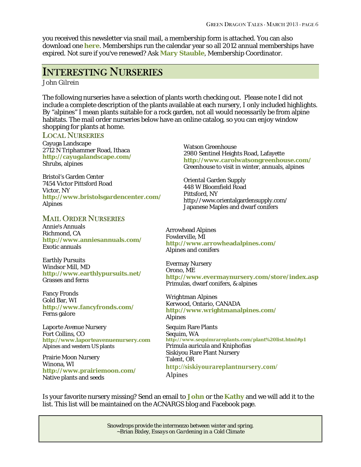you received this newsletter via snail mail, a membership form is attached. You can also download one **[here](http://www.acnargs.org/join.pdf)**. Memberships run the calendar year so all 2012 annual memberships have expired. Not sure if you've renewed? Ask **[Mary Stauble](mailto:mes2@cornell.edu)**, Membership Coordinator.

# INTERESTING NURSERIES

*John Gilrein*

The following nurseries have a selection of plants worth checking out. Please note I did not include a complete description of the plants available at each nursery, I only included highlights. By "alpines" I mean plants suitable for a rock garden, not all would necessarily be from alpine habitats. The mail order nurseries below have an online catalog, so you can enjoy window shopping for plants at home.

#### LOCAL NURSERIES

Cayuga Landscape 2712 N Triphammer Road, Ithaca **<http://cayugalandscape.com/>** Shrubs, alpines

Bristol's Garden Center 7454 Victor Pittsford Road Victor, NY **<http://www.bristolsgardencenter.com/>** Alpines

### MAIL ORDER NURSERIES

Annie's Annuals Richmond, CA **<http://www.anniesannuals.com/>** Exotic annuals

Earthly Pursuits Windsor Mill, MD **<http://www.earthlypursuits.net/>** Grasses and ferns

Fancy Fronds Gold Bar, WI **<http://www.fancyfronds.com/>** Ferns galore

Laporte Avenue Nursery Fort Collins, CO **[http://www.laporteavenuenursery.com](http://www.laporteavenuenursery.com/)** Alpines and western US plants

Prairie Moon Nursery Winona, WI **<http://www.prairiemoon.com/>** Native plants and seeds

Watson Greenhouse 2980 Sentinel Heights Road, Lafayette **<http://www.carolwatsongreenhouse.com/>** Greenhouse to visit in winter, annuals, alpines

Oriental Garden Supply 448 W Bloomfield Road Pittsford, NY http://www.orientalgardensupply.com/ Japanese Maples and dwarf conifers

Arrowhead Alpines Fowlerville, MI **<http://www.arrowheadalpines.com/>** Alpines and conifers

Evermay Nursery Orono, ME **<http://www.evermaynursery.com/store/index.asp>** Primulas, dwarf conifers, & alpines

Wrightman Alpines Kerwood, Ontario, CANADA **<http://www.wrightmanalpines.com/>** Alpines

Sequim Rare Plants Sequim, WA **<http://www.sequimrareplants.com/plant%20list.html#p1>** Primula auricula and Kniphofias Siskiyou Rare Plant Nursery Talent, OR **<http://siskiyourareplantnursery.com/>** Alpines

Is your favorite nursery missing? Send an email to **[John](mailto:basecamp@alum.syracuse.edu)** or the **[Kathy](mailto:kathy@coldclimategardening.com)** and we will add it to the list. This list will be maintained on the ACNARGS blog and Facebook page.

> Snowdrops provide the intermezzo between winter and spring. ~Brian Bixley, *Essays on Gardening in a Cold Climate*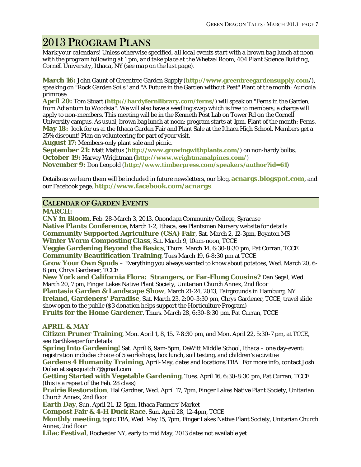# 2013 PROGRAM PLANS

*Mark your calendars! Unless otherwise specified, all local events start with a brown bag lunch at noon with the program following at 1 pm, and take place at the Whetzel Room, 404 Plant Science Building, Cornell University, Ithaca, NY (see map on the last page).*

**March 16:** John Gaunt of Greentree Garden Supply (**[http://www.greentreegardensupply.com](http://www.greentreegardensupply.com/)**/), speaking on "Rock Garden Soils" and "A Future in the Garden without Peat" Plant of the month: Auricula primrose

**April 20:** Tom Stuart (**<http://hardyfernlibrary.com/ferns/>**) will speak on "Ferns in the Garden, from *Adiantum* to *Woodsia*". We will also have a seedling swap which is free to members; a charge will apply to non-members. This meeting will be in the Kenneth Post Lab on Tower Rd on the Cornell University campus. As usual, brown bag lunch at noon; program starts at 1pm. Plant of the month: Ferns. **May 18:** look for us at the Ithaca Garden Fair and Plant Sale at the Ithaca High School. Members get a 25% discount! Plan on volunteering for part of your visit.

**August 17:** Members-only plant sale and picnic.

**September 21:** Matt Mattus (**<http://www.growingwithplants.com/>**) on non-hardy bulbs. **October 19:** Harvey Wrightman (**<http://www.wrightmanalpines.com/>**) **November 9:** Don Leopold (**<http://www.timberpress.com/speakers/author?id=61>**)

Details as we learn them will be included in future newsletters, our blog, **[acnargs.blogspot.com](http://acnargs.blogspot.com/)**, and our Facebook page, **[http://www.facebook.com/acnargs](http://acnargs.blogspot.com/)**.

### CALENDAR OF GARDEN EVENTS

**MARCH:**

**CNY in Bloom**, Feb. 28-March 3, 2013, Onondaga Community College, Syracuse **Native Plants Conference**, March 1-2, Ithaca, see Plantsmen Nursery website for details **Community Supported Agriculture (CSA) Fair**, Sat. March 2, 12-3pm, Boynton MS **Winter Worm Composting Class**, Sat. March 9, 10am-noon, TCCE **Veggie Gardening Beyond the Basics**, Thurs. March 14, 6:30-8:30 pm, Pat Curran, TCCE **Community Beautification Training**, Tues March 19, 6-8:30 pm at TCCE **Grow Your Own Spuds** – Everything you always wanted to know about potatoes, Wed. March 20, 6- 8 pm, Chrys Gardener, TCCE **New York and California Flora: Strangers, or Far-Flung Cousins?** Dan Segal, Wed. March 20, 7 pm, Finger Lakes Native Plant Society, Unitarian Church Annex, 2nd floor **Plantasia Garden & Landscape Show**, March 21-24, 2013, Fairgrounds in Hamburg, NY **Ireland, Gardeners' Paradise**, Sat. March 23, 2:00-3:30 pm, Chrys Gardener, TCCE, travel slide show open to the public (\$3 donation helps support the Horticulture Program) **Fruits for the Home Gardener**, Thurs. March 28, 6:30-8:30 pm, Pat Curran, TCCE

### **APRIL & MAY**

**Citizen Pruner Training**, Mon. April 1, 8, 15, 7-8:30 pm, and Mon. April 22, 5:30-7 pm, at TCCE, see Earthkeeper for details

**Spring Into Gardening!** Sat. April 6, 9am-5pm, DeWitt Middle School, Ithaca – one day-event: registration includes choice of 5 workshops, box lunch, soil testing, and children's activities **Gardens 4 Humanity Training**, April-May, dates and locations TBA. For more info, contact Josh Dolan at sapsquatch7@gmail.com

**Getting Started with Vegetable Gardening**, Tues. April 16, 6:30-8:30 pm, Pat Curran, TCCE (this is a repeat of the Feb. 28 class)

**Prairie Restoration**, Hal Gardner, Wed. April 17, 7pm, Finger Lakes Native Plant Society, Unitarian Church Annex, 2nd floor

**Earth Day**, Sun. April 21, 12-5pm, Ithaca Farmers' Market

**Compost Fair & 4-H Duck Race**, Sun. April 28, 12-4pm, TCCE

**Monthly meeting**, topic TBA, Wed. May 15, 7pm, Finger Lakes Native Plant Society, Unitarian Church Annex, 2nd floor

**Lilac Festival**, Rochester NY, early to mid May, 2013 dates not available yet